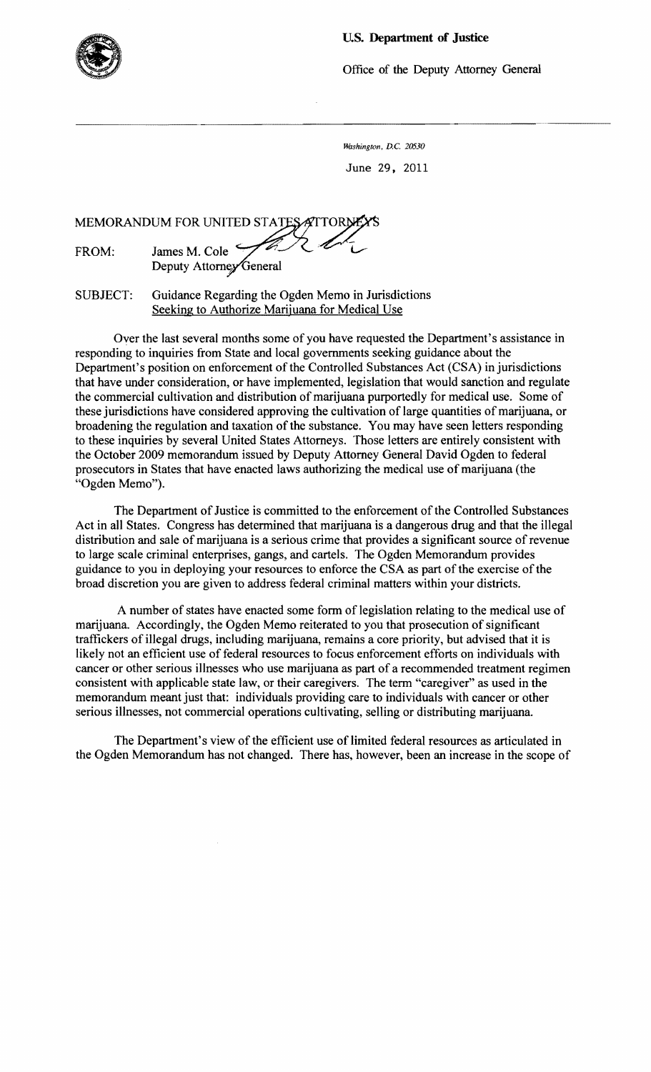

## u.s. **Department of Justice**

Office of the Deputy Attorney General

*Mbshington. D.C. 20530*  June 29, 2011

MEMORANDUM FOR UNITED STATES ATTORNE FROM: James M. Cole Deputy Attorney General

SUBJECT: Guidance Regarding the Ogden Memo in Jurisdictions Seeking to Authorize Marijuana for Medical Use

Over the last several months some of you have requested the Department's assistance in responding to inquiries from State and local governments seeking guidance about the Department's position on enforcement of the Controlled Substances Act (CSA) in jurisdictions that have under consideration, or have implemented, legislation that would sanction and regulate the commercial cultivation and distribution of marijuana purportedly for medical use. Some of these jurisdictions have considered approving the cultivation of large quantities of marijuana, or broadening the regulation and taxation of the substance. You may have seen letters responding to these inquiries by several United States Attorneys. Those letters are entirely consistent with the October 2009 memorandum issued by Deputy Attorney General David Ogden to federal prosecutors in States that have enacted laws authorizing the medical use of marijuana (the "Ogden Memo").

The Department of Justice is committed to the enforcement of the Controlled Substances Act in all States. Congress has determined that marijuana is a dangerous drug and that the illegal distribution and sale of marijuana is a serious crime that provides a significant source of revenue to large scale criminal enterprises, gangs, and cartels. The Ogden Memorandum provides guidance to you in deploying your resources to enforce the CSA as part of the exercise of the broad discretion you are given to address federal criminal matters within your districts.

A number of states have enacted some form of legislation relating to the medical use of marijuana. Accordingly, the Ogden Memo reiterated to you that prosecution of significant traffickers of illegal drugs, including marijuana, remains a core priority, but advised that it is likely not an efficient use of federal resources to focus enforcement efforts on individuals with cancer or other serious illnesses who use marijuana as part of a recommended treatment regimen consistent with applicable state law, or their caregivers. The term "caregiver" as used in the memorandum meant just that: individuals providing care to individuals with cancer or other serious illnesses, not commercial operations cultivating, selling or distributing marijuana.

The Department's view of the efficient use of limited federal resources as articulated in the Ogden Memorandum has not changed. There has, however, been an increase in the scope of